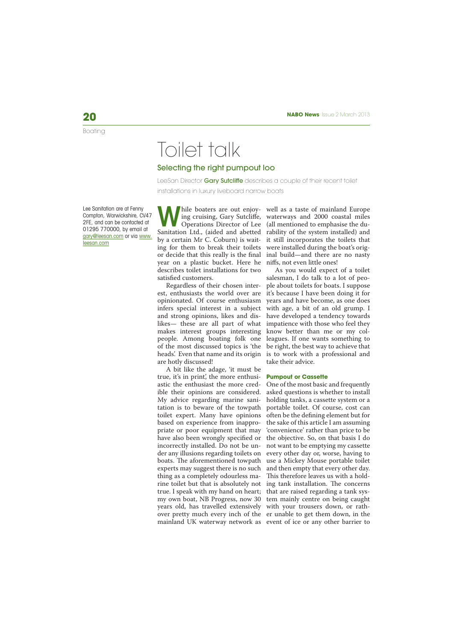# Toilet talk

## Selecting the right pumpout loo

LeeSan Director Gary Sutcliffe describes a couple of their recent toilet installations in luxury liveboard narrow boats

Lee Sanitation are at Fenny Compton, Warwickshire, CV47 2FE, and can be contacted at 01295 770000, by email at gary@leesan.com or via www. leesan.com

**W** Operations Director of Lee Sanitation Ltd., (aided and abetted by a certain Mr C. Coburn) is waiting for them to break their toilets or decide that this really is the final year on a plastic bucket. Here he describes toilet installations for two satisfied customers.

Regardless of their chosen interest, enthusiasts the world over are opinionated. Of course enthusiasm infers special interest in a subject and strong opinions, likes and dislikes— these are all part of what makes interest groups interesting people. Among boating folk one of the most discussed topics is 'the heads'. Even that name and its origin are hotly discussed!

A bit like the adage, 'it must be true, it's in print', the more enthusiastic the enthusiast the more credible their opinions are considered. My advice regarding marine sanitation is to beware of the towpath toilet expert. Many have opinions based on experience from inappropriate or poor equipment that may have also been wrongly specified or incorrectly installed. Do not be under any illusions regarding toilets on boats. The aforementioned towpath experts may suggest there is no such thing as a completely odourless marine toilet but that is absolutely not true. I speak with my hand on heart; my own boat, NB Progress, now 30 years old, has travelled extensively mainland UK waterway network as event of ice or any other barrier to

hile boaters are out enjoy-well as a taste of mainland Europe ing cruising, Gary Sutcliffe, waterways and 2000 coastal miles (all mentioned to emphasise the durability of the system installed) and it still incorporates the toilets that were installed during the boat's original build—and there are no nasty niffs, not even little ones!

As you would expect of a toilet salesman, I do talk to a lot of people about toilets for boats. I suppose it's because I have been doing it for years and have become, as one does with age, a bit of an old grump. I have developed a tendency towards impatience with those who feel they know better than me or my colleagues. If one wants something to be right, the best way to achieve that is to work with a professional and take their advice.

#### **Pumpout or Cassette**

over pretty much every inch of the er unable to get them down, in the One of the most basic and frequently asked questions is whether to install holding tanks, a cassette system or a portable toilet. Of course, cost can often be the defining element but for the sake of this article I am assuming 'convenience' rather than price to be the objective. So, on that basis I do not want to be emptying my cassette every other day or, worse, having to use a Mickey Mouse portable toilet and then empty that every other day. This therefore leaves us with a holding tank installation. The concerns that are raised regarding a tank system mainly centre on being caught with your trousers down, or rath-

Boating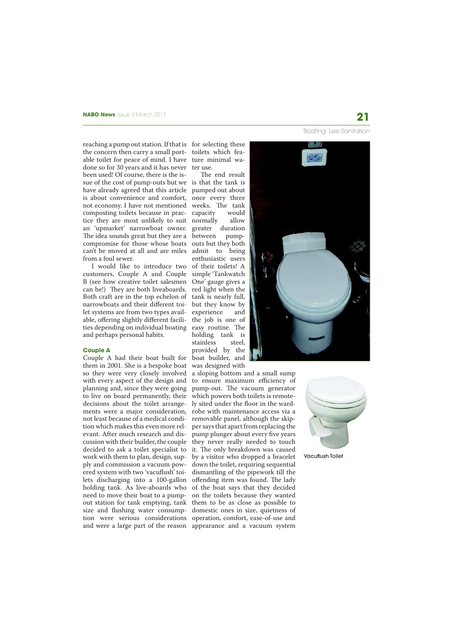Boating: Lee Sanitation

reaching a pump out station. If that is for selecting these the concern then carry a small port-toilets which feaable toilet for peace of mind. I have ture minimal wadone so for 30 years and it has never been used! Of course, there is the issue of the cost of pump-outs but we is that the tank is have already agreed that this article pumped out about is about convenience and comfort, not economy. I have not mentioned composting toilets because in practice they are most unlikely to suit normally allow an 'upmarket' narrowboat owner. greater duration The idea sounds great but they are a compromise for those whose boats can't be moved at all and are miles admit to being from a foul sewer.

I would like to introduce two of their toilets! A customers, Couple A and Couple simple 'Tankwatch B (see how creative toilet salesmen One' gauge gives a can be!) They are both liveaboards. red light when the Both craft are in the top echelon of tank is nearly full, narrowboats and their different toi-but they know by let systems are from two types available, offering slightly different facilities depending on individual boating and perhaps personal habits.

### **Couple A**

Couple A had their boat built for them in 2001. She is a bespoke boat so they were very closely involved with every aspect of the design and planning and, since they were going to live on board permanently, their decisions about the toilet arrangements were a major consideration, not least because of a medical condition which makes this even more relevant. After much research and discussion with their builder, the couple decided to ask a toilet specialist to work with them to plan, design, supply and commission a vacuum powered system with two 'vacuflush' toilets discharging into a 100-gallon holding tank. As live-aboards who need to move their boat to a pumpout station for tank emptying, tank size and flushing water consumption were serious considerations

ter use.

The end result once every three weeks. The tank capacity would between pumpouts but they both enthusiastic users experience and the job is one of easy routine. The holding tank is stainless steel, provided by the boat builder, and was designed with

and were a large part of the reason appearance and a vacuum system a sloping bottom and a small sump to ensure maximum efficiency of pump-out. The vacuum generator which powers both toilets is remotely sited under the floor in the wardrobe with maintenance access via a removable panel, although the skipper says that apart from replacing the pump plunger about every five years they never really needed to touch it. The only breakdown was caused by a visitor who dropped a bracelet down the toilet, requiring sequential dismantling of the pipework till the offending item was found. The lady of the boat says that they decided on the toilets because they wanted them to be as close as possible to domestic ones in size, quietness of operation, comfort, ease-of-use and





Vacuflush Toilet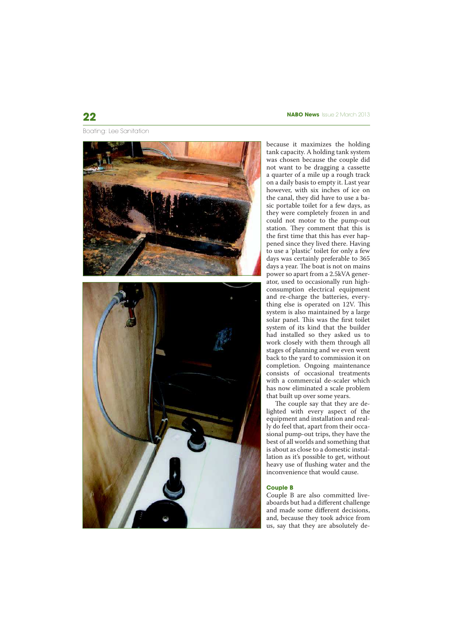Boating: Lee Sanitation



# **22 NABO News** Issue 2 March 2013

because it maximizes the holding tank capacity. A holding tank system was chosen because the couple did not want to be dragging a cassette a quarter of a mile up a rough track on a daily basis to empty it. Last year however, with six inches of ice on the canal, they did have to use a basic portable toilet for a few days, as they were completely frozen in and could not motor to the pump-out station. They comment that this is the first time that this has ever happened since they lived there. Having to use a 'plastic' toilet for only a few days was certainly preferable to 365 days a year. The boat is not on mains power so apart from a 2.5kVA generator, used to occasionally run highconsumption electrical equipment and re-charge the batteries, everything else is operated on  $12V$ . This system is also maintained by a large solar panel. This was the first toilet system of its kind that the builder had installed so they asked us to work closely with them through all stages of planning and we even went back to the yard to commission it on completion. Ongoing maintenance consists of occasional treatments with a commercial de-scaler which has now eliminated a scale problem that built up over some years.

The couple say that they are delighted with every aspect of the equipment and installation and really do feel that, apart from their occasional pump-out trips, they have the best of all worlds and something that is about as close to a domestic installation as it's possible to get, without heavy use of flushing water and the inconvenience that would cause.

## **Couple B**

Couple B are also committed liveaboards but had a different challenge and made some different decisions, and, because they took advice from us, say that they are absolutely de-